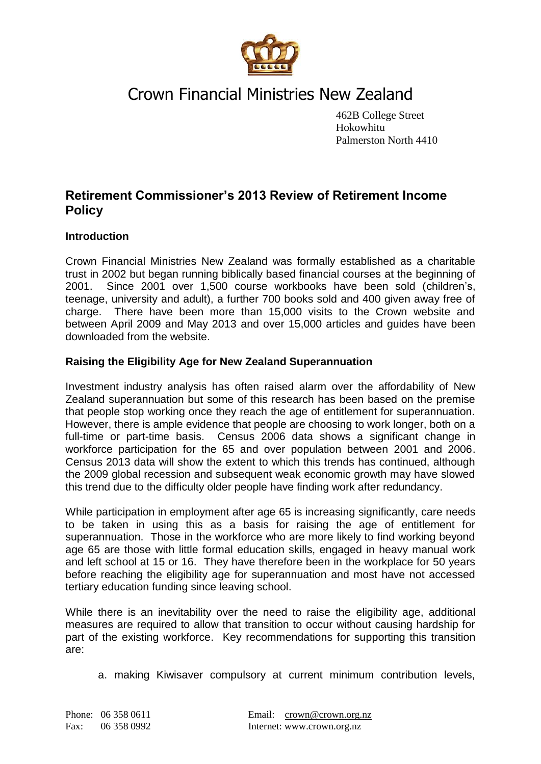

# Crown Financial Ministries New Zealand

462B College Street Hokowhitu Palmerston North 4410

# **Retirement Commissioner's 2013 Review of Retirement Income Policy**

# **Introduction**

Crown Financial Ministries New Zealand was formally established as a charitable trust in 2002 but began running biblically based financial courses at the beginning of 2001. Since 2001 over 1,500 course workbooks have been sold (children's, teenage, university and adult), a further 700 books sold and 400 given away free of charge. There have been more than 15,000 visits to the Crown website and between April 2009 and May 2013 and over 15,000 articles and guides have been downloaded from the website.

# **Raising the Eligibility Age for New Zealand Superannuation**

Investment industry analysis has often raised alarm over the affordability of New Zealand superannuation but some of this research has been based on the premise that people stop working once they reach the age of entitlement for superannuation. However, there is ample evidence that people are choosing to work longer, both on a full-time or part-time basis. Census 2006 data shows a significant change in workforce participation for the 65 and over population between 2001 and 2006. Census 2013 data will show the extent to which this trends has continued, although the 2009 global recession and subsequent weak economic growth may have slowed this trend due to the difficulty older people have finding work after redundancy.

While participation in employment after age 65 is increasing significantly, care needs to be taken in using this as a basis for raising the age of entitlement for superannuation. Those in the workforce who are more likely to find working beyond age 65 are those with little formal education skills, engaged in heavy manual work and left school at 15 or 16. They have therefore been in the workplace for 50 years before reaching the eligibility age for superannuation and most have not accessed tertiary education funding since leaving school.

While there is an inevitability over the need to raise the eligibility age, additional measures are required to allow that transition to occur without causing hardship for part of the existing workforce. Key recommendations for supporting this transition are:

a. making Kiwisaver compulsory at current minimum contribution levels,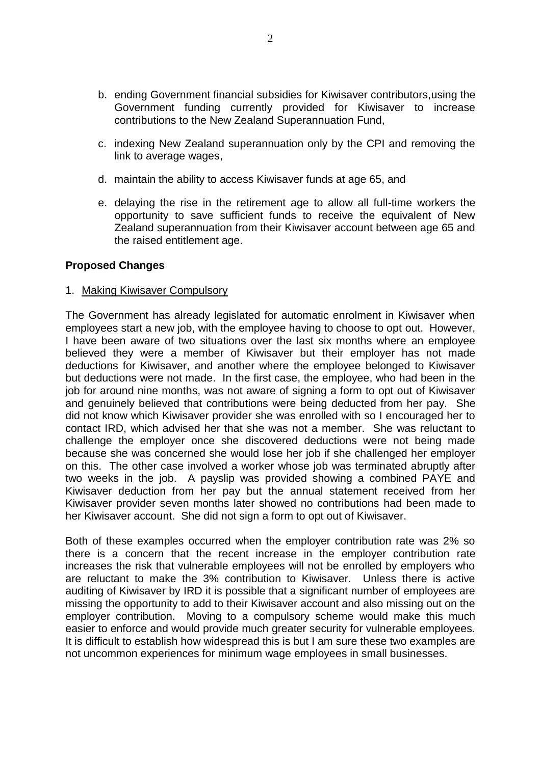- b. ending Government financial subsidies for Kiwisaver contributors,using the Government funding currently provided for Kiwisaver to increase contributions to the New Zealand Superannuation Fund,
- c. indexing New Zealand superannuation only by the CPI and removing the link to average wages,
- d. maintain the ability to access Kiwisaver funds at age 65, and
- e. delaying the rise in the retirement age to allow all full-time workers the opportunity to save sufficient funds to receive the equivalent of New Zealand superannuation from their Kiwisaver account between age 65 and the raised entitlement age.

### **Proposed Changes**

#### 1. Making Kiwisaver Compulsory

The Government has already legislated for automatic enrolment in Kiwisaver when employees start a new job, with the employee having to choose to opt out. However, I have been aware of two situations over the last six months where an employee believed they were a member of Kiwisaver but their employer has not made deductions for Kiwisaver, and another where the employee belonged to Kiwisaver but deductions were not made. In the first case, the employee, who had been in the job for around nine months, was not aware of signing a form to opt out of Kiwisaver and genuinely believed that contributions were being deducted from her pay. She did not know which Kiwisaver provider she was enrolled with so I encouraged her to contact IRD, which advised her that she was not a member. She was reluctant to challenge the employer once she discovered deductions were not being made because she was concerned she would lose her job if she challenged her employer on this. The other case involved a worker whose job was terminated abruptly after two weeks in the job. A payslip was provided showing a combined PAYE and Kiwisaver deduction from her pay but the annual statement received from her Kiwisaver provider seven months later showed no contributions had been made to her Kiwisaver account. She did not sign a form to opt out of Kiwisaver.

Both of these examples occurred when the employer contribution rate was 2% so there is a concern that the recent increase in the employer contribution rate increases the risk that vulnerable employees will not be enrolled by employers who are reluctant to make the 3% contribution to Kiwisaver. Unless there is active auditing of Kiwisaver by IRD it is possible that a significant number of employees are missing the opportunity to add to their Kiwisaver account and also missing out on the employer contribution. Moving to a compulsory scheme would make this much easier to enforce and would provide much greater security for vulnerable employees. It is difficult to establish how widespread this is but I am sure these two examples are not uncommon experiences for minimum wage employees in small businesses.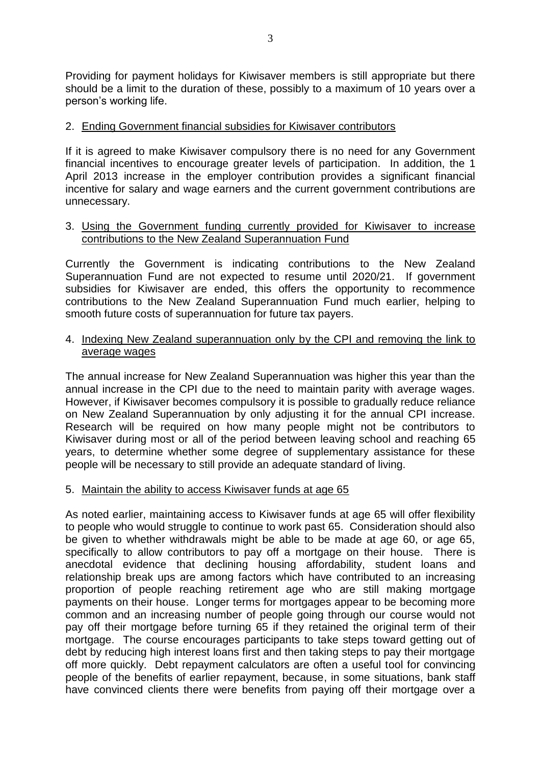Providing for payment holidays for Kiwisaver members is still appropriate but there should be a limit to the duration of these, possibly to a maximum of 10 years over a person's working life.

#### 2. Ending Government financial subsidies for Kiwisaver contributors

If it is agreed to make Kiwisaver compulsory there is no need for any Government financial incentives to encourage greater levels of participation. In addition, the 1 April 2013 increase in the employer contribution provides a significant financial incentive for salary and wage earners and the current government contributions are unnecessary.

#### 3. Using the Government funding currently provided for Kiwisaver to increase contributions to the New Zealand Superannuation Fund

Currently the Government is indicating contributions to the New Zealand Superannuation Fund are not expected to resume until 2020/21. If government subsidies for Kiwisaver are ended, this offers the opportunity to recommence contributions to the New Zealand Superannuation Fund much earlier, helping to smooth future costs of superannuation for future tax payers.

#### 4. Indexing New Zealand superannuation only by the CPI and removing the link to average wages

The annual increase for New Zealand Superannuation was higher this year than the annual increase in the CPI due to the need to maintain parity with average wages. However, if Kiwisaver becomes compulsory it is possible to gradually reduce reliance on New Zealand Superannuation by only adjusting it for the annual CPI increase. Research will be required on how many people might not be contributors to Kiwisaver during most or all of the period between leaving school and reaching 65 years, to determine whether some degree of supplementary assistance for these people will be necessary to still provide an adequate standard of living.

#### 5. Maintain the ability to access Kiwisaver funds at age 65

As noted earlier, maintaining access to Kiwisaver funds at age 65 will offer flexibility to people who would struggle to continue to work past 65. Consideration should also be given to whether withdrawals might be able to be made at age 60, or age 65, specifically to allow contributors to pay off a mortgage on their house. There is anecdotal evidence that declining housing affordability, student loans and relationship break ups are among factors which have contributed to an increasing proportion of people reaching retirement age who are still making mortgage payments on their house. Longer terms for mortgages appear to be becoming more common and an increasing number of people going through our course would not pay off their mortgage before turning 65 if they retained the original term of their mortgage. The course encourages participants to take steps toward getting out of debt by reducing high interest loans first and then taking steps to pay their mortgage off more quickly. Debt repayment calculators are often a useful tool for convincing people of the benefits of earlier repayment, because, in some situations, bank staff have convinced clients there were benefits from paying off their mortgage over a